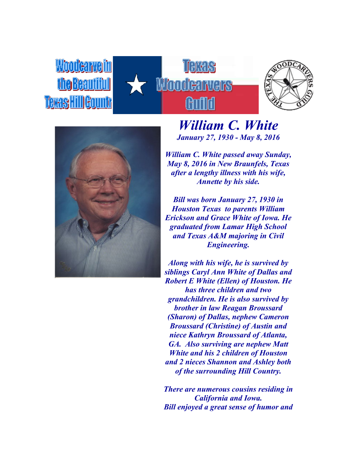Woodcarvelin **Me Beautifu** Texas Hill Gountr







## *William C. White January 27, 1930 - May 8, 2016*

*William C. White passed away Sunday, May 8, 2016 in New Braunfels, Texas after a lengthy illness with his wife, Annette by his side.*

*Bill was born January 27, 1930 in Houston Texas to parents William Erickson and Grace White of Iowa. He graduated from Lamar High School and Texas A&M majoring in Civil Engineering.*

*Along with his wife, he is survived by siblings Caryl Ann White of Dallas and Robert E White (Ellen) of Houston. He has three children and two grandchildren. He is also survived by brother in law Reagan Broussard (Sharon) of Dallas, nephew Cameron Broussard (Christine) of Austin and niece Kathryn Broussard of Atlanta, GA. Also surviving are nephew Matt White and his 2 children of Houston and 2 nieces Shannon and Ashley both of the surrounding Hill Country.*

*There are numerous cousins residing in California and Iowa. Bill enjoyed a great sense of humor and*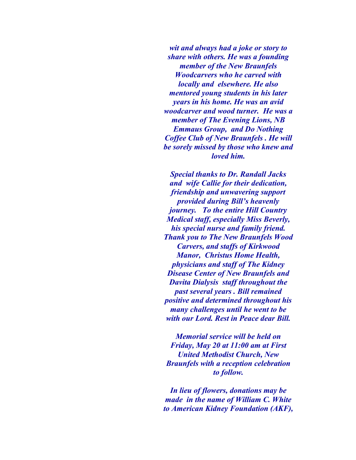*wit and always had a joke or story to share with others. He was a founding member of the New Braunfels Woodcarvers who he carved with locally and elsewhere. He also mentored young students in his later years in his home. He was an avid woodcarver and wood turner. He was a member of The Evening Lions, NB Emmaus Group, and Do Nothing Coffee Club of New Braunfels . He will be sorely missed by those who knew and loved him.*

*Special thanks to Dr. Randall Jacks and wife Callie for their dedication, friendship and unwavering support provided during Bill's heavenly journey. To the entire Hill Country Medical staff, especially Miss Beverly, his special nurse and family friend. Thank you to The New Braunfels Wood Carvers, and staffs of Kirkwood Manor, Christus Home Health, physicians and staff of The Kidney Disease Center of New Braunfels and Davita Dialysis staff throughout the past several years . Bill remained positive and determined throughout his many challenges until he went to be with our Lord. Rest in Peace dear Bill.*

*Memorial service will be held on Friday, May 20 at 11:00 am at First United Methodist Church, New Braunfels with a reception celebration to follow.*

*In lieu of flowers, donations may be made in the name of William C. White to American Kidney Foundation (AKF),*